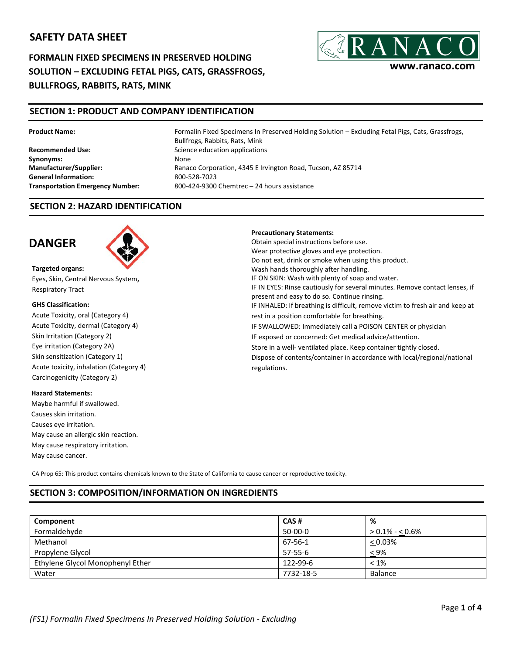# **SAFETY DATA SHEET**

**FORMALIN FIXED SPECIMENS IN PRESERVED HOLDING SOLUTION – EXCLUDING FETAL PIGS, CATS, GRASSFROGS, BULLFROGS, RABBITS, RATS, MINK**



## **SECTION 1: PRODUCT AND COMPANY IDENTIFICATION**

#### **Product Name:**

**Recommended Use: Synonyms: Manufacturer/Supplier: General Information: Transportation Emergency Number:** Formalin Fixed Specimens In Preserved Holding Solution – Excluding Fetal Pigs, Cats, Grassfrogs, Bullfrogs, Rabbits, Rats, Mink Science education applications None Ranaco Corporation, 4345 E Irvington Road, Tucson, AZ 85714 800‐528‐7023 800‐424‐9300 Chemtrec – 24 hours assistance

### **SECTION 2: HAZARD IDENTIFICATION**

# **DANGER**



**Targeted organs:**  Eyes, Skin, Central Nervous System**,**  Respiratory Tract

#### **GHS Classification:**

Skin Irritation (Category 2) Acute Toxicity, oral (Category 4) Acute Toxicity, dermal (Category 4) Eye irritation (Category 2A) Skin sensitization (Category 1) Acute toxicity, inhalation (Category 4) Carcinogenicity (Category 2)

#### **Hazard Statements:**

Maybe harmful if swallowed. Causes skin irritation. Causes eye irritation. May cause an allergic skin reaction. May cause respiratory irritation. May cause cancer.

**Precautionary Statements:**

Obtain special instructions before use. Wear protective gloves and eye protection. Do not eat, drink or smoke when using this product. Wash hands thoroughly after handling. IF ON SKIN: Wash with plenty of soap and water. IF IN EYES: Rinse cautiously for several minutes. Remove contact lenses, if present and easy to do so. Continue rinsing. IF INHALED: If breathing is difficult, remove victim to fresh air and keep at rest in a position comfortable for breathing. IF SWALLOWED: Immediately call a POISON CENTER or physician IF exposed or concerned: Get medical advice/attention. Store in a well‐ ventilated place. Keep container tightly closed. Dispose of contents/container in accordance with local/regional/national regulations.

CA Prop 65: This product contains chemicals known to the State of California to cause cancer or reproductive toxicity.

## **SECTION 3: COMPOSITION/INFORMATION ON INGREDIENTS**

| Component                        | CAS#      | %                 |
|----------------------------------|-----------|-------------------|
| Formaldehyde                     | 50-00-0   | $> 0.1\% - 0.6\%$ |
| Methanol                         | 67-56-1   | $< 0.03\%$        |
| Propylene Glycol                 | 57-55-6   | $< 9\%$           |
| Ethylene Glycol Monophenyl Ether | 122-99-6  | $< 1\%$           |
| Water                            | 7732-18-5 | Balance           |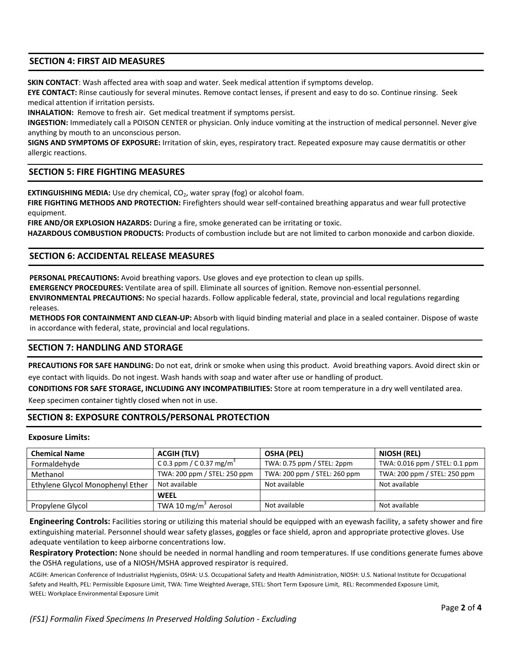## **SECTION 4: FIRST AID MEASURES**

**SKIN CONTACT**: Wash affected area with soap and water. Seek medical attention if symptoms develop.

**EYE CONTACT:** Rinse cautiously for several minutes. Remove contact lenses, if present and easy to do so. Continue rinsing. Seek medical attention if irritation persists.

**INHALATION:** Remove to fresh air. Get medical treatment if symptoms persist.

**INGESTION:** Immediately call a POISON CENTER or physician. Only induce vomiting at the instruction of medical personnel. Never give anything by mouth to an unconscious person.

**SIGNS AND SYMPTOMS OF EXPOSURE:** Irritation of skin, eyes, respiratory tract. Repeated exposure may cause dermatitis or other allergic reactions.

### **SECTION 5: FIRE FIGHTING MEASURES**

**EXTINGUISHING MEDIA:** Use dry chemical, CO<sub>2</sub>, water spray (fog) or alcohol foam.

**FIRE FIGHTING METHODS AND PROTECTION:** Firefighters should wear self‐contained breathing apparatus and wear full protective equipment.

**FIRE AND/OR EXPLOSION HAZARDS:** During a fire, smoke generated can be irritating or toxic.

**HAZARDOUS COMBUSTION PRODUCTS:** Products of combustion include but are not limited to carbon monoxide and carbon dioxide.

### **SECTION 6: ACCIDENTAL RELEASE MEASURES**

**PERSONAL PRECAUTIONS:** Avoid breathing vapors. Use gloves and eye protection to clean up spills.

**EMERGENCY PROCEDURES:** Ventilate area of spill. Eliminate all sources of ignition. Remove non‐essential personnel.

**ENVIRONMENTAL PRECAUTIONS:** No special hazards. Follow applicable federal, state, provincial and local regulations regarding releases.

**METHODS FOR CONTAINMENT AND CLEAN‐UP:** Absorb with liquid binding material and place in a sealed container. Dispose of waste in accordance with federal, state, provincial and local regulations.

## **SECTION 7: HANDLING AND STORAGE**

**PRECAUTIONS FOR SAFE HANDLING:** Do not eat, drink or smoke when using this product. Avoid breathing vapors. Avoid direct skin or eye contact with liquids. Do not ingest. Wash hands with soap and water after use or handling of product.

**CONDITIONS FOR SAFE STORAGE, INCLUDING ANY INCOMPATIBILITIES:** Store at room temperature in a dry well ventilated area.

Keep specimen container tightly closed when not in use.

## **SECTION 8: EXPOSURE CONTROLS/PERSONAL PROTECTION**

#### **Exposure Limits:**

| <b>Chemical Name</b>             | <b>ACGIH (TLV)</b>                   | <b>OSHA (PEL)</b>            | NIOSH (REL)                    |
|----------------------------------|--------------------------------------|------------------------------|--------------------------------|
| Formaldehyde                     | C 0.3 ppm / C 0.37 mg/m <sup>3</sup> | TWA: 0.75 ppm / STEL: 2ppm   | TWA: 0.016 ppm / STEL: 0.1 ppm |
| Methanol                         | TWA: 200 ppm / STEL: 250 ppm         | TWA: 200 ppm / STEL: 260 ppm | TWA: 200 ppm / STEL: 250 ppm   |
| Ethylene Glycol Monophenyl Ether | Not available                        | Not available                | Not available                  |
|                                  | <b>WEEL</b>                          |                              |                                |
| Propylene Glycol                 | TWA 10 mg/m <sup>3</sup> Aerosol     | Not available                | Not available                  |

**Engineering Controls:** Facilities storing or utilizing this material should be equipped with an eyewash facility, a safety shower and fire extinguishing material. Personnel should wear safety glasses, goggles or face shield, apron and appropriate protective gloves. Use adequate ventilation to keep airborne concentrations low.

**Respiratory Protection:** None should be needed in normal handling and room temperatures. If use conditions generate fumes above the OSHA regulations, use of a NIOSH/MSHA approved respirator is required.

ACGIH: American Conference of Industrialist Hygienists, OSHA: U.S. Occupational Safety and Health Administration, NIOSH: U.S. National Institute for Occupational Safety and Health, PEL: Permissible Exposure Limit, TWA: Time Weighted Average, STEL: Short Term Exposure Limit, REL: Recommended Exposure Limit, WEEL: Workplace Environmental Exposure Limit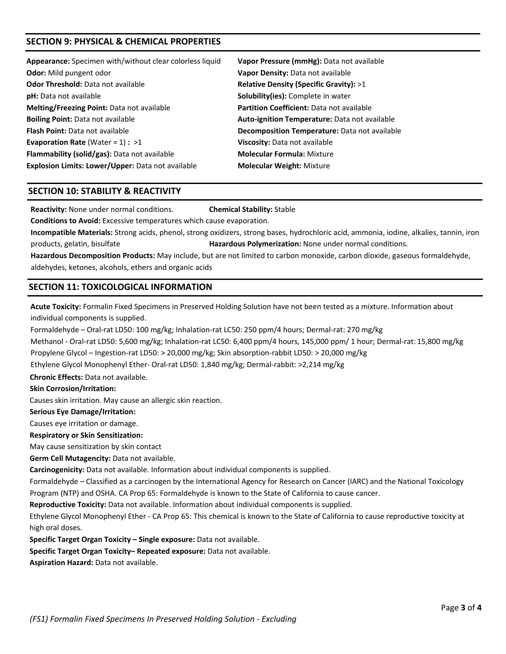## **SECTION 9: PHYSICAL & CHEMICAL PROPERTIES**

| Appearance: Specimen with/without clear colorless liquid | Vapor Pressure (mmHg): Data not available        |
|----------------------------------------------------------|--------------------------------------------------|
| <b>Odor:</b> Mild pungent odor                           | Vapor Density: Data not available                |
| Odor Threshold: Data not available                       | Relative Density (Specific Gravity): >1          |
| pH: Data not available                                   | Solubility(ies): Complete in water               |
| <b>Melting/Freezing Point:</b> Data not available        | <b>Partition Coefficient: Data not available</b> |
| <b>Boiling Point: Data not available</b>                 | Auto-ignition Temperature: Data not available    |
| <b>Flash Point:</b> Data not available                   | Decomposition Temperature: Data not available    |
| <b>Evaporation Rate (Water = 1) : &gt;1</b>              | Viscosity: Data not available                    |
| Flammability (solid/gas): Data not available             | <b>Molecular Formula: Mixture</b>                |
| Explosion Limits: Lower/Upper: Data not available        | <b>Molecular Weight: Mixture</b>                 |
|                                                          |                                                  |

#### **SECTION 10: STABILITY & REACTIVITY**

**Reactivity:** None under normal conditions. **Chemical Stability:** Stable

**Conditions to Avoid:** Excessive temperatures which cause evaporation.

**Incompatible Materials:** Strong acids, phenol, strong oxidizers, strong bases, hydrochloric acid, ammonia, iodine, alkalies, tannin, iron products, gelatin, bisulfate **Hazardous Polymerization:** None under normal conditions.

**Hazardous Decomposition Products:** May include, but are not limited to carbon monoxide, carbon dioxide, gaseous formaldehyde, aldehydes, ketones, alcohols, ethers and organic acids

## **SECTION 11: TOXICOLOGICAL INFORMATION**

**Acute Toxicity:** Formalin Fixed Specimens in Preserved Holding Solution have not been tested as a mixture. Information about individual components is supplied.

Formaldehyde – Oral‐rat LD50: 100 mg/kg; Inhalation‐rat LC50: 250 ppm/4 hours; Dermal‐rat: 270 mg/kg

Methanol ‐ Oral‐rat LD50: 5,600 mg/kg; Inhalation‐rat LC50: 6,400 ppm/4 hours, 145,000 ppm/ 1 hour; Dermal‐rat: 15,800 mg/kg

Propylene Glycol – Ingestion‐rat LD50: > 20,000 mg/kg; Skin absorption‐rabbit LD50: > 20,000 mg/kg

Ethylene Glycol Monophenyl Ether‐ Oral‐rat LD50: 1,840 mg/kg; Dermal‐rabbit: >2,214 mg/kg

**Chronic Effects:** Data not available.

#### **Skin Corrosion/Irritation:**

Causes skin irritation. May cause an allergic skin reaction.

#### **Serious Eye Damage/Irritation:**

Causes eye irritation or damage.

**Respiratory or Skin Sensitization:**

May cause sensitization by skin contact

**Germ Cell Mutagencity:** Data not available.

**Carcinogenicity:** Data not available. Information about individual components is supplied.

Formaldehyde – Classified as a carcinogen by the International Agency for Research on Cancer (IARC) and the National Toxicology Program (NTP) and OSHA. CA Prop 65: Formaldehyde is known to the State of California to cause cancer.

**Reproductive Toxicity:** Data not available. Information about individual components is supplied.

Ethylene Glycol Monophenyl Ether ‐ CA Prop 65: This chemical is known to the State of California to cause reproductive toxicity at high oral doses.

**Specific Target Organ Toxicity – Single exposure:** Data not available.

**Specific Target Organ Toxicity– Repeated exposure:** Data not available.

**Aspiration Hazard:** Data not available.